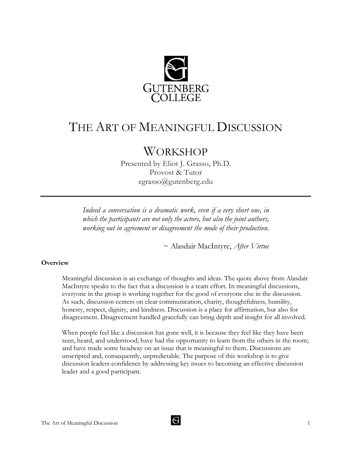

# THE ART OF MEANINGFUL DISCUSSION

# **WORKSHOP**

Presented by Eliot J. Grasso, Ph.D. Provost & Tutor egrasso@gutenberg.edu

*Indeed a conversation is a dramatic work, even if a very short one, in which the participants are not only the actors, but also the joint authors, working out in agreement or disagreement the mode of their production.*

~ Alasdair MacIntyre, *After Virtue*

# **Overview**

Meaningful discussion is an exchange of thoughts and ideas. The quote above from Alasdair MacIntyre speaks to the fact that a discussion is a team effort. In meaningful discussions, everyone in the group is working together for the good of everyone else in the discussion. As such, discussion centers on clear communication, charity, thoughtfulness, humility, honesty, respect, dignity, and kindness. Discussion is a place for affirmation, but also for disagreement. Disagreement handled gracefully can bring depth and insight for all involved.

When people feel like a discussion has gone well, it is because they feel like they have been seen, heard, and understood; have had the opportunity to learn from the others in the room; and have made some headway on an issue that is meaningful to them. Discussions are unscripted and, consequently, unpredictable. The purpose of this workshop is to give discussion leaders confidence by addressing key issues to becoming an effective discussion leader and a good participant.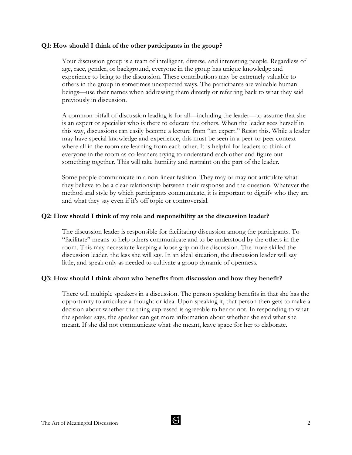# **Q1: How should I think of the other participants in the group?**

Your discussion group is a team of intelligent, diverse, and interesting people. Regardless of age, race, gender, or background, everyone in the group has unique knowledge and experience to bring to the discussion. These contributions may be extremely valuable to others in the group in sometimes unexpected ways. The participants are valuable human beings—use their names when addressing them directly or referring back to what they said previously in discussion.

A common pitfall of discussion leading is for all—including the leader—to assume that she is an expert or specialist who is there to educate the others. When the leader sees herself in this way, discussions can easily become a lecture from "an expert." Resist this. While a leader may have special knowledge and experience, this must be seen in a peer-to-peer context where all in the room are learning from each other. It is helpful for leaders to think of everyone in the room as co-learners trying to understand each other and figure out something together. This will take humility and restraint on the part of the leader.

Some people communicate in a non-linear fashion. They may or may not articulate what they believe to be a clear relationship between their response and the question. Whatever the method and style by which participants communicate, it is important to dignify who they are and what they say even if it's off topic or controversial.

#### **Q2: How should I think of my role and responsibility as the discussion leader?**

The discussion leader is responsible for facilitating discussion among the participants. To "facilitate" means to help others communicate and to be understood by the others in the room. This may necessitate keeping a loose grip on the discussion. The more skilled the discussion leader, the less she will say. In an ideal situation, the discussion leader will say little, and speak only as needed to cultivate a group dynamic of openness.

#### **Q3: How should I think about who benefits from discussion and how they benefit?**

There will multiple speakers in a discussion. The person speaking benefits in that she has the opportunity to articulate a thought or idea. Upon speaking it, that person then gets to make a decision about whether the thing expressed is agreeable to her or not. In responding to what the speaker says, the speaker can get more information about whether she said what she meant. If she did not communicate what she meant, leave space for her to elaborate.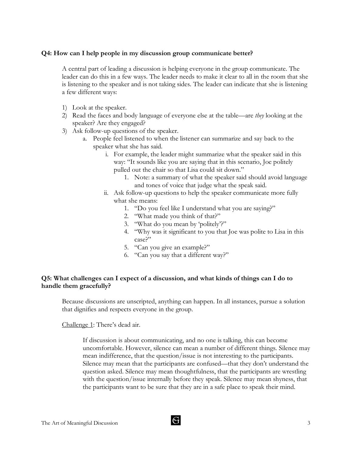#### **Q4: How can I help people in my discussion group communicate better?**

A central part of leading a discussion is helping everyone in the group communicate. The leader can do this in a few ways. The leader needs to make it clear to all in the room that she is listening to the speaker and is not taking sides. The leader can indicate that she is listening a few different ways:

- 1) Look at the speaker.
- 2) Read the faces and body language of everyone else at the table—are *they* looking at the speaker? Are they engaged?
- 3) Ask follow-up questions of the speaker.
	- a. People feel listened to when the listener can summarize and say back to the speaker what she has said.
		- i. For example, the leader might summarize what the speaker said in this way: "It sounds like you are saying that in this scenario, Joe politely pulled out the chair so that Lisa could sit down."
			- 1. Note: a summary of what the speaker said should avoid language and tones of voice that judge what the speak said.
		- ii. Ask follow-up questions to help the speaker communicate more fully what she means:
			- 1. "Do you feel like I understand what you are saying?"
			- 2. "What made you think of that?"
			- 3. "What do you mean by 'politely'?"
			- 4. "Why was it significant to you that Joe was polite to Lisa in this case?"
			- 5. "Can you give an example?"
			- 6. "Can you say that a different way?"

# **Q5: What challenges can I expect of a discussion, and what kinds of things can I do to handle them gracefully?**

Because discussions are unscripted, anything can happen. In all instances, pursue a solution that dignifies and respects everyone in the group.

Challenge 1: There's dead air.

If discussion is about communicating, and no one is talking, this can become uncomfortable. However, silence can mean a number of different things. Silence may mean indifference, that the question/issue is not interesting to the participants. Silence may mean that the participants are confused—that they don't understand the question asked. Silence may mean thoughtfulness, that the participants are wrestling with the question/issue internally before they speak. Silence may mean shyness, that the participants want to be sure that they are in a safe place to speak their mind.